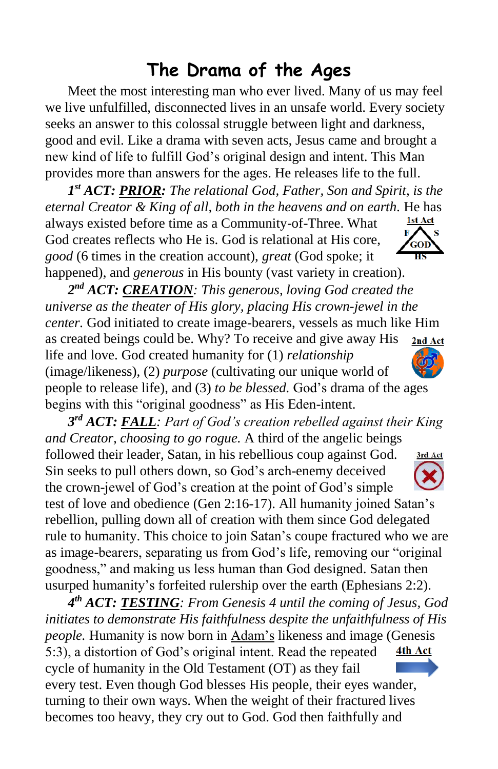## **The Drama of the Ages**

Meet the most interesting man who ever lived. Many of us may feel we live unfulfilled, disconnected lives in an unsafe world. Every society seeks an answer to this colossal struggle between light and darkness, good and evil. Like a drama with seven acts, Jesus came and brought a new kind of life to fulfill God's original design and intent. This Man provides more than answers for the ages. He releases life to the full.

*1 st ACT: PRIOR: The relational God, Father, Son and Spirit, is the eternal Creator & King of all, both in the heavens and on earth.* He has always existed before time as a Community-of-Three. What 1st Act God creates reflects who He is. God is relational at His core, *good* (6 times in the creation account), *great* (God spoke; it happened), and *generous* in His bounty (vast variety in creation).

*2 nd ACT: CREATION: This generous, loving God created the universe as the theater of His glory, placing His crown-jewel in the center.* God initiated to create image-bearers, vessels as much like Him as created beings could be. Why? To receive and give away His 2nd Act life and love. God created humanity for (1) *relationship* (image/likeness), (2) *purpose* (cultivating our unique world of people to release life), and (3) *to be blessed.* God's drama of the ages begins with this "original goodness" as His Eden-intent.

*3 rd ACT: FALL: Part of God's creation rebelled against their King and Creator, choosing to go rogue.* A third of the angelic beings followed their leader, Satan, in his rebellious coup against God. 3rd Act Sin seeks to pull others down, so God's arch-enemy deceived the crown-jewel of God's creation at the point of God's simple test of love and obedience (Gen 2:16-17). All humanity joined Satan's rebellion, pulling down all of creation with them since God delegated rule to humanity. This choice to join Satan's coupe fractured who we are as image-bearers, separating us from God's life, removing our "original goodness," and making us less human than God designed. Satan then usurped humanity's forfeited rulership over the earth (Ephesians 2:2).

*4 th ACT: TESTING: From Genesis 4 until the coming of Jesus, God initiates to demonstrate His faithfulness despite the unfaithfulness of His people.* Humanity is now born in Adam's likeness and image (Genesis 5:3), a distortion of God's original intent. Read the repeated 4th Act cycle of humanity in the Old Testament (OT) as they fail every test. Even though God blesses His people, their eyes wander, turning to their own ways. When the weight of their fractured lives becomes too heavy, they cry out to God. God then faithfully and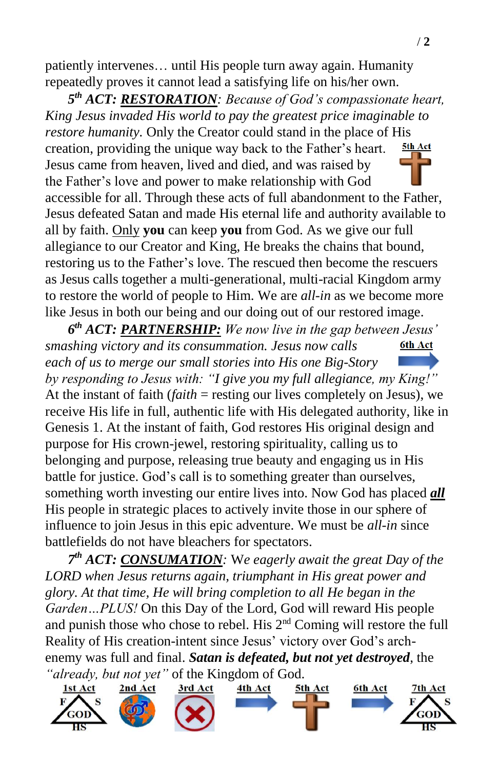patiently intervenes… until His people turn away again. Humanity repeatedly proves it cannot lead a satisfying life on his/her own.

*5 th ACT: RESTORATION: Because of God's compassionate heart, King Jesus invaded His world to pay the greatest price imaginable to restore humanity.* Only the Creator could stand in the place of His creation, providing the unique way back to the Father's heart. 5th Act Jesus came from heaven, lived and died, and was raised by the Father's love and power to make relationship with God accessible for all. Through these acts of full abandonment to the Father, Jesus defeated Satan and made His eternal life and authority available to all by faith. Only **you** can keep **you** from God. As we give our full allegiance to our Creator and King, He breaks the chains that bound, restoring us to the Father's love. The rescued then become the rescuers as Jesus calls together a multi-generational, multi-racial Kingdom army to restore the world of people to Him. We are *all-in* as we become more like Jesus in both our being and our doing out of our restored image.

*6 th ACT: PARTNERSHIP: We now live in the gap between Jesus' smashing victory and its consummation. Jesus now calls*  6th Act *each of us to merge our small stories into His one Big-Story by responding to Jesus with: "I give you my full allegiance, my King!"* At the instant of faith (*faith* = resting our lives completely on Jesus), we receive His life in full, authentic life with His delegated authority, like in Genesis 1. At the instant of faith, God restores His original design and purpose for His crown-jewel, restoring spirituality, calling us to belonging and purpose, releasing true beauty and engaging us in His battle for justice. God's call is to something greater than ourselves, something worth investing our entire lives into. Now God has placed *all* His people in strategic places to actively invite those in our sphere of influence to join Jesus in this epic adventure. We must be *all-in* since battlefields do not have bleachers for spectators.

*7 th ACT: CONSUMATION:* W*e eagerly await the great Day of the LORD when Jesus returns again, triumphant in His great power and glory. At that time, He will bring completion to all He began in the Garden…PLUS!* On this Day of the Lord, God will reward His people and punish those who chose to rebel. His 2<sup>nd</sup> Coming will restore the full Reality of His creation-intent since Jesus' victory over God's archenemy was full and final. *Satan is defeated, but not yet destroyed*, the *"already, but not yet"* of the Kingdom of God.